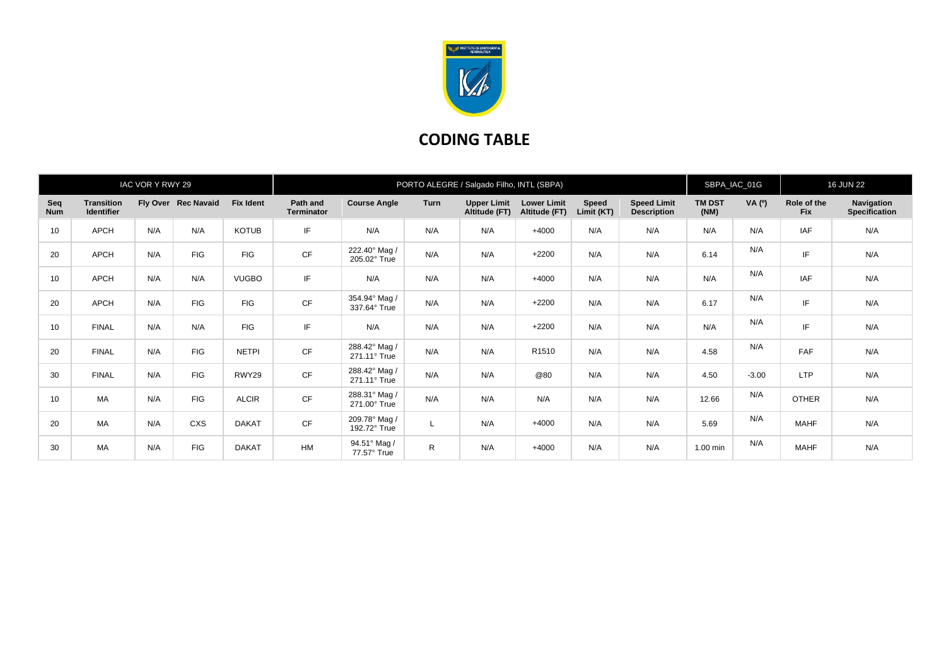

## **CODING TABLE**

| IAC VOR Y RWY 29  |                                        |     |                     |                  | PORTO ALEGRE / Salgado Filho, INTL (SBPA) |                               |             |                                     |                                     |                            |                                          | SBPA_IAC_01G          |         | <b>16 JUN 22</b>          |                                    |
|-------------------|----------------------------------------|-----|---------------------|------------------|-------------------------------------------|-------------------------------|-------------|-------------------------------------|-------------------------------------|----------------------------|------------------------------------------|-----------------------|---------|---------------------------|------------------------------------|
| Seq<br><b>Num</b> | <b>Transition</b><br><b>Identifier</b> |     | Fly Over Rec Navaid | <b>Fix Ident</b> | Path and<br><b>Terminator</b>             | <b>Course Angle</b>           | <b>Turn</b> | <b>Upper Limit</b><br>Altitude (FT) | <b>Lower Limit</b><br>Altitude (FT) | <b>Speed</b><br>Limit (KT) | <b>Speed Limit</b><br><b>Description</b> | <b>TM DST</b><br>(NM) | VA (0)  | Role of the<br><b>Fix</b> | Navigation<br><b>Specification</b> |
| 10                | APCH                                   | N/A | N/A                 | <b>KOTUB</b>     | IF                                        | N/A                           | N/A         | N/A                                 | $+4000$                             | N/A                        | N/A                                      | N/A                   | N/A     | <b>IAF</b>                | N/A                                |
| 20                | APCH                                   | N/A | <b>FIG</b>          | <b>FIG</b>       | <b>CF</b>                                 | 222.40° Mag /<br>205.02° True | N/A         | N/A                                 | $+2200$                             | N/A                        | N/A                                      | 6.14                  | N/A     | IF                        | N/A                                |
| 10                | APCH                                   | N/A | N/A                 | <b>VUGBO</b>     | IF                                        | N/A                           | N/A         | N/A                                 | $+4000$                             | N/A                        | N/A                                      | N/A                   | N/A     | <b>IAF</b>                | N/A                                |
| 20                | APCH                                   | N/A | <b>FIG</b>          | <b>FIG</b>       | CF                                        | 354.94° Mag /<br>337.64° True | N/A         | N/A                                 | $+2200$                             | N/A                        | N/A                                      | 6.17                  | N/A     | IF                        | N/A                                |
| 10                | <b>FINAL</b>                           | N/A | N/A                 | <b>FIG</b>       | IF                                        | N/A                           | N/A         | N/A                                 | $+2200$                             | N/A                        | N/A                                      | N/A                   | N/A     | IF                        | N/A                                |
| 20                | <b>FINAL</b>                           | N/A | <b>FIG</b>          | <b>NETPI</b>     | <b>CF</b>                                 | 288.42° Mag /<br>271.11° True | N/A         | N/A                                 | R1510                               | N/A                        | N/A                                      | 4.58                  | N/A     | FAF                       | N/A                                |
| 30                | <b>FINAL</b>                           | N/A | <b>FIG</b>          | RWY29            | CF                                        | 288.42° Mag /<br>271.11° True | N/A         | N/A                                 | @80                                 | N/A                        | N/A                                      | 4.50                  | $-3.00$ | <b>LTP</b>                | N/A                                |
| 10                | <b>MA</b>                              | N/A | <b>FIG</b>          | <b>ALCIR</b>     | <b>CF</b>                                 | 288.31° Mag /<br>271.00° True | N/A         | N/A                                 | N/A                                 | N/A                        | N/A                                      | 12.66                 | N/A     | <b>OTHER</b>              | N/A                                |
| 20                | MA                                     | N/A | CXS                 | <b>DAKAT</b>     | CF                                        | 209.78° Mag /<br>192.72° True |             | N/A                                 | $+4000$                             | N/A                        | N/A                                      | 5.69                  | N/A     | <b>MAHF</b>               | N/A                                |
| 30                | <b>MA</b>                              | N/A | <b>FIG</b>          | <b>DAKAT</b>     | HM                                        | 94.51° Mag /<br>77.57° True   | R           | N/A                                 | $+4000$                             | N/A                        | N/A                                      | 1.00 min              | N/A     | <b>MAHF</b>               | N/A                                |